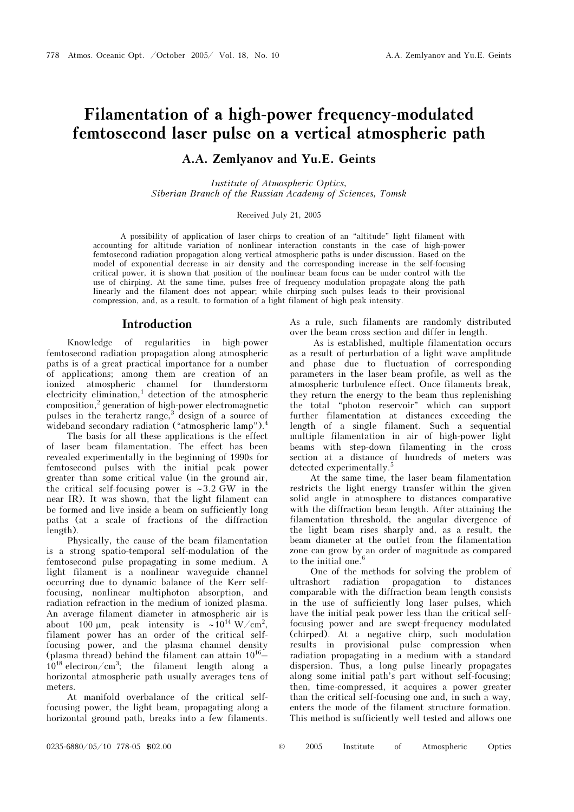# Filamentation of a high-power frequency-modulated femtosecond laser pulse on a vertical atmospheric path

# A.A. Zemlyanov and Yu.E. Geints

Institute of Atmospheric Optics, Siberian Branch of the Russian Academy of Sciences, Tomsk

### Received July 21, 2005

A possibility of application of laser chirps to creation of an "altitude" light filament with accounting for altitude variation of nonlinear interaction constants in the case of high-power femtosecond radiation propagation along vertical atmospheric paths is under discussion. Based on the model of exponential decrease in air density and the corresponding increase in the self-focusing critical power, it is shown that position of the nonlinear beam focus can be under control with the use of chirping. At the same time, pulses free of frequency modulation propagate along the path linearly and the filament does not appear; while chirping such pulses leads to their provisional compression, and, as a result, to formation of a light filament of high peak intensity.

### Introduction

Knowledge of regularities in high-power femtosecond radiation propagation along atmospheric paths is of a great practical importance for a number of applications; among them are creation of an ionized atmospheric channel for thunderstorm electricity elimination,<sup>1</sup> detection of the atmospheric composition,<sup>2</sup> generation of high-power electromagnetic pulses in the terahertz range,<sup>3</sup> design of a source of wideband secondary radiation ("atmospheric lamp").4

 The basis for all these applications is the effect of laser beam filamentation. The effect has been revealed experimentally in the beginning of 1990s for femtosecond pulses with the initial peak power greater than some critical value (in the ground air, the critical self-focusing power is ∼ 3.2 GW in the near IR). It was shown, that the light filament can be formed and live inside a beam on sufficiently long paths (at a scale of fractions of the diffraction length).

Physically, the cause of the beam filamentation is a strong spatio-temporal self-modulation of the femtosecond pulse propagating in some medium. A light filament is a nonlinear waveguide channel occurring due to dynamic balance of the Kerr selffocusing, nonlinear multiphoton absorption, and radiation refraction in the medium of ionized plasma. An average filament diameter in atmospheric air is about 100 µm, peak intensity is ~10<sup>14</sup> W/cm<sup>2</sup>, filament power has an order of the critical selffocusing power, and the plasma channel density (plasma thread) behind the filament can attain  $10^{16}$ –  $10^{18}$  electron/cm<sup>3</sup>; the filament length along a horizontal atmospheric path usually averages tens of meters.

At manifold overbalance of the critical selffocusing power, the light beam, propagating along a horizontal ground path, breaks into a few filaments. As a rule, such filaments are randomly distributed over the beam cross section and differ in length.

 As is established, multiple filamentation occurs as a result of perturbation of a light wave amplitude and phase due to fluctuation of corresponding parameters in the laser beam profile, as well as the atmospheric turbulence effect. Once filaments break, they return the energy to the beam thus replenishing the total "photon reservoir" which can support further filamentation at distances exceeding the length of a single filament. Such a sequential multiple filamentation in air of high-power light beams with step-down filamenting in the cross section at a distance of hundreds of meters was detected experimentally.<sup>5</sup>

At the same time, the laser beam filamentation restricts the light energy transfer within the given solid angle in atmosphere to distances comparative with the diffraction beam length. After attaining the filamentation threshold, the angular divergence of the light beam rises sharply and, as a result, the beam diameter at the outlet from the filamentation zone can grow by an order of magnitude as compared to the initial one.<sup>6</sup>

One of the methods for solving the problem of ultrashort radiation propagation to distances comparable with the diffraction beam length consists in the use of sufficiently long laser pulses, which have the initial peak power less than the critical selffocusing power and are swept-frequency modulated (chirped). At a negative chirp, such modulation results in provisional pulse compression when radiation propagating in a medium with a standard dispersion. Thus, a long pulse linearly propagates along some initial path's part without self-focusing; then, time-compressed, it acquires a power greater than the critical self-focusing one and, in such a way, enters the mode of the filament structure formation. This method is sufficiently well tested and allows one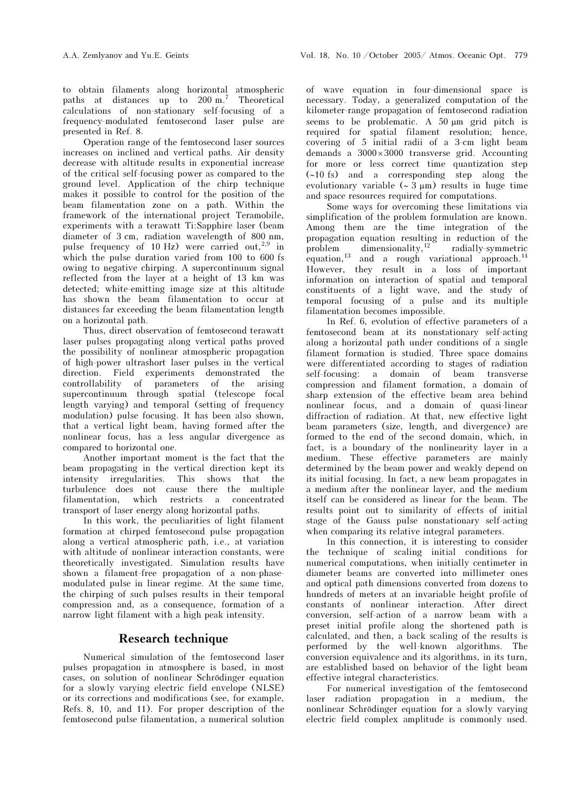to obtain filaments along horizontal atmospheric paths at distances up to 200 m.' Theoretical calculations of non-stationary self-focusing of a frequency-modulated femtosecond laser pulse are presented in Ref. 8.

Operation range of the femtosecond laser sources increases on inclined and vertical paths. Air density decrease with altitude results in exponential increase of the critical self-focusing power as compared to the ground level. Application of the chirp technique makes it possible to control for the position of the beam filamentation zone on a path. Within the framework of the international project Teramobile, experiments with a terawatt Ti:Sapphire laser (beam diameter of 3 cm, radiation wavelength of 800 nm, pulse frequency of 10 Hz) were carried out,<sup>2,9</sup> in which the pulse duration varied from 100 to 600 fs owing to negative chirping. A supercontinuum signal reflected from the layer at a height of 13 km was detected; white-emitting image size at this altitude has shown the beam filamentation to occur at distances far exceeding the beam filamentation length on a horizontal path.

Thus, direct observation of femtosecond terawatt laser pulses propagating along vertical paths proved the possibility of nonlinear atmospheric propagation of high-power ultrashort laser pulses in the vertical direction. Field experiments demonstrated the controllability of parameters of the arising supercontinuum through spatial (telescope focal length varying) and temporal (setting of frequency modulation) pulse focusing. It has been also shown, that a vertical light beam, having formed after the nonlinear focus, has a less angular divergence as compared to horizontal one.

Another important moment is the fact that the beam propagating in the vertical direction kept its intensity irregularities. This shows that the turbulence does not cause there the multiple filamentation, which restricts a concentrated transport of laser energy along horizontal paths.

In this work, the peculiarities of light filament formation at chirped femtosecond pulse propagation along a vertical atmospheric path, i.e., at variation with altitude of nonlinear interaction constants, were theoretically investigated. Simulation results have shown a filament-free propagation of a non-phasemodulated pulse in linear regime. At the same time, the chirping of such pulses results in their temporal compression and, as a consequence, formation of a narrow light filament with a high peak intensity.

# Research technique

Numerical simulation of the femtosecond laser pulses propagation in atmosphere is based, in most cases, on solution of nonlinear Schrödinger equation for a slowly varying electric field envelope (NLSE) or its corrections and modifications (see, for example, Refs. 8, 10, and 11). For proper description of the femtosecond pulse filamentation, a numerical solution

of wave equation in four-dimensional space is necessary. Today, a generalized computation of the kilometer-range propagation of femtosecond radiation seems to be problematic. A  $50 \mu m$  grid pitch is required for spatial filament resolution; hence, covering of 5 initial radii of a 3-cm light beam demands a 3000 × 3000 transverse grid. Accounting for more or less correct time quantization step (∼10 fs) and a corresponding step along the evolutionary variable (∼ 3 μm) results in huge time and space resources required for computations.

Some ways for overcoming these limitations via simplification of the problem formulation are known. Among them are the time integration of the propagation equation resulting in reduction of the problem dimensionality,  $12$  radially-symmetric problem dimensionality,  $\frac{12}{2}$  radially-symmetric equation,<sup>13</sup> and a rough variational approach.<sup>14</sup> However, they result in a loss of important information on interaction of spatial and temporal constituents of a light wave, and the study of temporal focusing of a pulse and its multiple filamentation becomes impossible.

In Ref. 6, evolution of effective parameters of a femtosecond beam at its nonstationary self-acting along a horizontal path under conditions of a single filament formation is studied. Three space domains were differentiated according to stages of radiation self-focusing: a domain of beam transverse compression and filament formation, a domain of sharp extension of the effective beam area behind nonlinear focus, and a domain of quasi-linear diffraction of radiation. At that, new effective light beam parameters (size, length, and divergence) are formed to the end of the second domain, which, in fact, is a boundary of the nonlinearity layer in a medium. These effective parameters are mainly determined by the beam power and weakly depend on its initial focusing. In fact, a new beam propagates in a medium after the nonlinear layer, and the medium itself can be considered as linear for the beam. The results point out to similarity of effects of initial stage of the Gauss pulse nonstationary self-acting when comparing its relative integral parameters.

In this connection, it is interesting to consider the technique of scaling initial conditions for numerical computations, when initially centimeter in diameter beams are converted into millimeter ones and optical path dimensions converted from dozens to hundreds of meters at an invariable height profile of constants of nonlinear interaction. After direct conversion, self-action of a narrow beam with a preset initial profile along the shortened path is calculated, and then, a back scaling of the results is performed by the well-known algorithms. The conversion equivalence and its algorithms, in its turn, are established based on behavior of the light beam effective integral characteristics.

For numerical investigation of the femtosecond laser radiation propagation in a medium, the nonlinear Schrödinger equation for a slowly varying electric field complex amplitude is commonly used.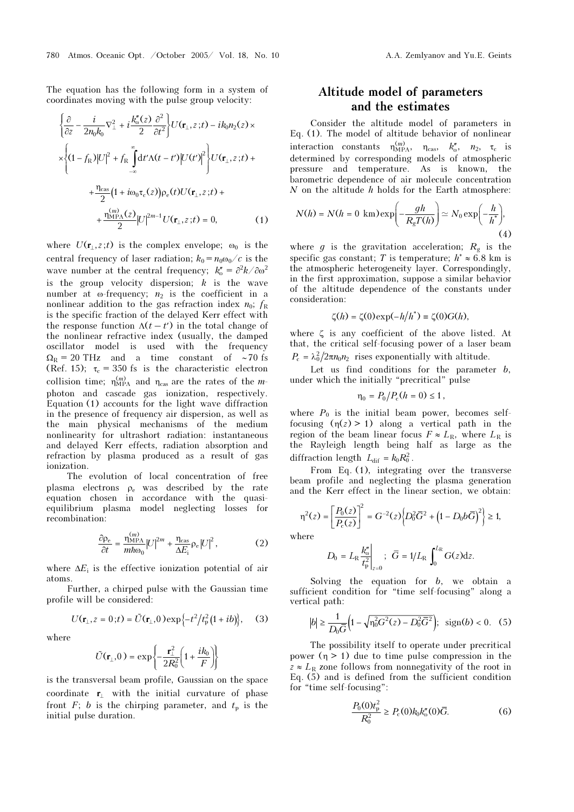The equation has the following form in a system of coordinates moving with the pulse group velocity:

$$
\left\{\frac{\partial}{\partial z} - \frac{i}{2n_0k_0} \nabla_{\perp}^2 + i \frac{k_0''(z)}{2} \frac{\partial^2}{\partial t^2} \right\} U(\mathbf{r}_{\perp}, z; t) - i k_0 n_2(z) \times
$$
  
\n
$$
\times \left\{ (1 - f_{\rm R}) |U|^2 + f_{\rm R} \int_{-\infty}^{\infty} dt' \Lambda(t - t') |U(t')|^2 \right\} U(\mathbf{r}_{\perp}, z; t) +
$$
  
\n
$$
+ \frac{\eta_{\rm cas}}{2} (1 + i \omega_0 \tau_{\rm c}(z)) \rho_{\rm e}(t) U(\mathbf{r}_{\perp}, z; t) +
$$
  
\n
$$
+ \frac{\eta_{\rm MPA}^{(m)}(z)}{2} |U|^{2m-1} U(\mathbf{r}_{\perp}, z; t) = 0,
$$
 (1)

where  $U(\mathbf{r}_{\perp}, z; t)$  is the complex envelope;  $\omega_0$  is the central frequency of laser radiation;  $k_0 = n_0 \omega_0 / c$  is the wave number at the central frequency;  $k_0'' = \frac{\partial^2 k}{\partial \omega^2}$ is the group velocity dispersion;  $k$  is the wave number at  $\omega$ -frequency;  $n_2$  is the coefficient in a nonlinear addition to the gas refraction index  $n_0$ ;  $f_R$ is the specific fraction of the delayed Kerr effect with the response function  $\Lambda(t-t')$  in the total change of the nonlinear refractive index (usually, the damped oscillator model is used with the frequency  $\Omega_R$  = 20 THz and a time constant of ∼70 fs (Ref. 15);  $\tau_c = 350$  fs is the characteristic electron collision time;  $\eta_{\text{MPA}}^{(m)}$  and  $\eta_{\text{cas}}$  are the rates of the mphoton and cascade gas ionization, respectively. Equation (1) accounts for the light wave diffraction in the presence of frequency air dispersion, as well as the main physical mechanisms of the medium nonlinearity for ultrashort radiation: instantaneous and delayed Kerr effects, radiation absorption and refraction by plasma produced as a result of gas ionization.

The evolution of local concentration of free plasma electrons  $\rho_e$  was described by the rate equation chosen in accordance with the quasiequilibrium plasma model neglecting losses for recombination:

$$
\frac{\partial \rho_{\rm e}}{\partial t} = \frac{\eta_{\rm MPA}^{(m)}}{m \hbar \omega_0} |U|^{2m} + \frac{\eta_{\rm cas}}{\Delta E_{\rm i}} \rho_{\rm e} |U|^2, \qquad (2)
$$

where  $\Delta E_i$  is the effective ionization potential of air atoms.

Further, a chirped pulse with the Gaussian time profile will be considered: <sup>1</sup> is the effective ionization potential<br>her, a chirped pulse with the Gaussia<br>
<sup>1</sup> 1 be considered:<br>
<sup>1</sup> −  $t^2/t_p^2(1 + ib)$ 

$$
U(\mathbf{r}_{\perp}, z = 0; t) = \tilde{U}(\mathbf{r}_{\perp}, 0) \exp\{-t^2/t_p^2(1+ib)\}, \quad (3)
$$
  

$$
\tilde{U}(\mathbf{r}_{\perp}, 0) = \exp\{-\frac{\mathbf{r}_{\perp}^2}{2} \left(1 + \frac{ik_0}{2}\right)\}
$$

where

$$
\tilde{U}(\mathbf{r}_{\perp},0) = \exp\left\{-\frac{\mathbf{r}_{\perp}^2}{2R_0^2}\left(1+\frac{ik_0}{F}\right)\right\}
$$

is the transversal beam profile, Gaussian on the space coordinate r⊥ with the initial curvature of phase front F; b is the chirping parameter, and  $t_p$  is the initial pulse duration.

# Altitude model of parameters and the estimates

Consider the altitude model of parameters in Eq.  $(1)$ . The model of altitude behavior of nonlinear interaction constants  $\eta_{\text{MPA}}^{(m)}$ ,  $\eta_{\text{cas}}$ ,  $k_{\omega}^{\prime}$ ,  $n_2$ ,  $\tau_c$  is determined by corresponding models of atmospheric pressure and temperature. As is known, the barometric dependence of air molecule concentration  $N$  on the altitude  $h$  holds for the Earth atmosphere:

$$
N(h) = N(h = 0 \text{ km}) \exp\left(-\frac{gh}{R_g T(h)}\right) \simeq N_0 \exp\left(-\frac{h}{h^*}\right),\tag{4}
$$

where g is the gravitation acceleration;  $R<sub>g</sub>$  is the specific gas constant; T is temperature;  $h^* \approx 6.8$  km is the atmospheric heterogeneity layer. Correspondingly, in the first approximation, suppose a similar behavior of the altitude dependence of the constants under consideration:

$$
\zeta(h) = \zeta(0) \exp(-h/h^*) \equiv \zeta(0) G(h),
$$

where  $\zeta$  is any coefficient of the above listed. At that, the critical self-focusing power of a laser beam  $P_c = \lambda_0^2 / 2 \pi n_0 n_2$  rises exponentially with altitude.

Let us find conditions for the parameter  $b$ , under which the initially "precritical" pulse

$$
\eta_0 = P_0/P_c(h = 0) \le 1\,,
$$

where  $P_0$  is the initial beam power, becomes selffocusing  $(\eta(z) > 1)$  along a vertical path in the region of the beam linear focus  $F \approx L_R$ , where  $L_R$  is the Rayleigh length being half as large as the diffraction length  $L_{\text{dif}} = k_0 R_0^2$ .

From Eq. (1), integrating over the transverse beam profile and neglecting the plasma generation and the Kerr effect in the linear section, we obtain:

\n The equation is given by:\n 
$$
\text{arg}(\hat{z}) = \left[ \frac{P_0(z)}{P_c(z)} \right]^2 = G^{-2}(z) \left\{ D_0^2 \overline{G}^2 + \left( 1 - D_0 b \overline{G} \right)^2 \right\} \geq 1,
$$
\n

where

$$
D_0 = L_{\rm R} \frac{k_{\rm o}''}{t_{\rm p}^2}\Big|_{z=0}; \ \ \bar{G} = 1/L_{\rm R} \int_0^{L_{\rm R}} G(z) dz.
$$

Solving the equation for  $b$ , we obtain a sufficient condition for "time self-focusing" along a vertical path:

$$
|b| \ge \frac{1}{D_0 \overline{G}} \Big( 1 - \sqrt{\eta_0^2 G^2(z) - D_0^2 \overline{G}^2} \Big); \text{ sign}(b) < 0. \quad (5)
$$

The possibility itself to operate under precritical power  $(\eta > 1)$  due to time pulse compression in the  $z \approx L_R$  zone follows from nonnegativity of the root in Eq. (5) and is defined from the sufficient condition for "time self-focusing":

$$
\frac{P_0(0)t_p^2}{R_0^2} \ge P_{\rm c}(0)k_0k''_{\rm o}(0)\overline{G}.
$$
 (6)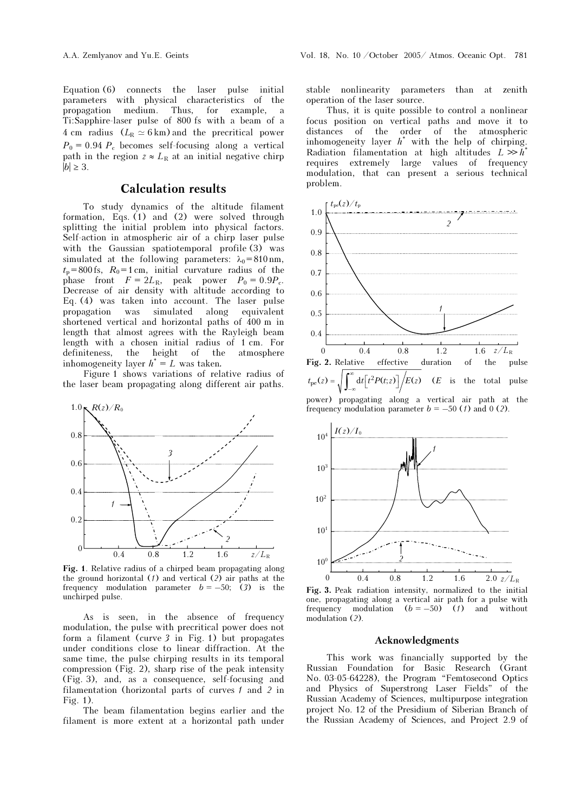Equation (6) connects the laser pulse initial parameters with physical characteristics of the propagation medium. Thus, for example, a Ti:Sapphire-laser pulse of 800 fs with a beam of a 4 cm radius  $(L_R \simeq 6 \text{ km})$  and the precritical power  $P_0 = 0.94 P_c$  becomes self-focusing along a vertical path in the region  $z \approx L_R$  at an initial negative chirp  $|b| \geq 3$ .

## Calculation results

To study dynamics of the altitude filament formation, Eqs.  $(1)$  and  $(2)$  were solved through splitting the initial problem into physical factors. Self-action in atmospheric air of a chirp laser pulse with the Gaussian spatiotemporal profile (3) was simulated at the following parameters:  $\lambda_0 = 810 \text{ nm}$ ,  $t_p$  = 800 fs,  $R_0$  = 1 cm, initial curvature radius of the phase front  $F = 2L_R$ , peak power  $P_0 = 0.9P_c$ . Decrease of air density with altitude according to Eq. (4) was taken into account. The laser pulse propagation was simulated along equivalent shortened vertical and horizontal paths of 400 m in length that almost agrees with the Rayleigh beam length with a chosen initial radius of 1 cm. For definiteness, the height of the atmosphere inhomogeneity layer  $h^* = L$  was taken.

Figure 1 shows variations of relative radius of the laser beam propagating along different air paths.



Fig. 1. Relative radius of a chirped beam propagating along the ground horizontal  $(1)$  and vertical  $(2)$  air paths at the frequency modulation parameter  $b = -50$ ; (3) is the unchirped pulse.

As is seen, in the absence of frequency modulation, the pulse with precritical power does not form a filament (curve 3 in Fig. 1) but propagates under conditions close to linear diffraction. At the same time, the pulse chirping results in its temporal compression (Fig. 2), sharp rise of the peak intensity (Fig. 3), and, as a consequence, self-focusing and filamentation (horizontal parts of curves 1 and 2 in Fig. 1).

The beam filamentation begins earlier and the filament is more extent at a horizontal path under

stable nonlinearity parameters than at zenith operation of the laser source.

Thus, it is quite possible to control a nonlinear focus position on vertical paths and move it to distances of the order of the atmospheric inhomogeneity layer  $h^*$  with the help of chirping. Radiation filamentation at high altitudes  $L \gg h^*$ requires extremely large values of frequency modulation, that can present a serious technical problem.





Fig. 3. Peak radiation intensity, normalized to the initial one, propagating along a vertical air path for a pulse with frequency modulation  $(b = -50)$  (1) and without modulation (2).

### Acknowledgments

This work was financially supported by the Russian Foundation for Basic Research (Grant No. 03-05-64228), the Program "Femtosecond Optics and Physics of Superstrong Laser Fields" of the Russian Academy of Sciences, multipurpose integration project No. 12 of the Presidium of Siberian Branch of the Russian Academy of Sciences, and Project 2.9 of